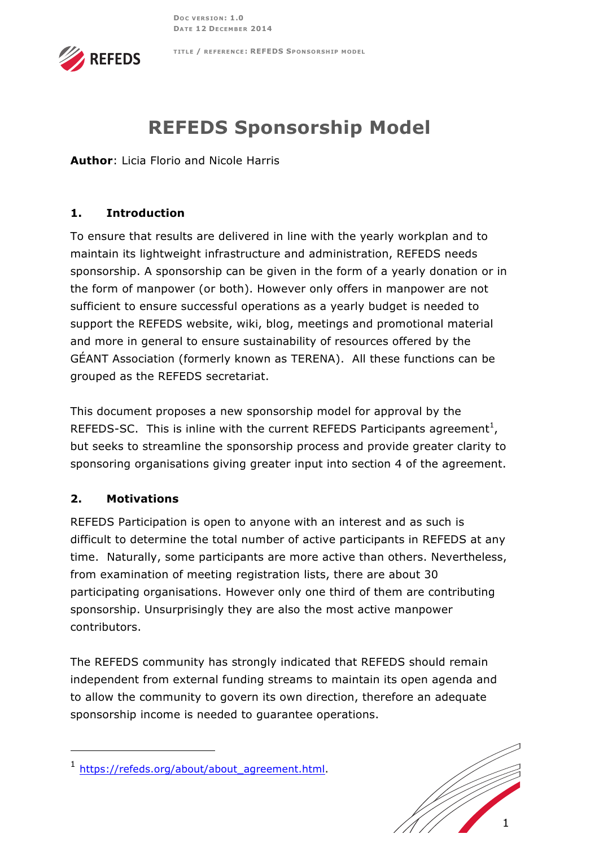

#### **TITLE / REFERENCE : REFEDS SPONSORSHIP MODEL**

# **REFEDS Sponsorship Model**

**Author**: Licia Florio and Nicole Harris

## **1. Introduction**

To ensure that results are delivered in line with the yearly workplan and to maintain its lightweight infrastructure and administration, REFEDS needs sponsorship. A sponsorship can be given in the form of a yearly donation or in the form of manpower (or both). However only offers in manpower are not sufficient to ensure successful operations as a yearly budget is needed to support the REFEDS website, wiki, blog, meetings and promotional material and more in general to ensure sustainability of resources offered by the GÉANT Association (formerly known as TERENA). All these functions can be grouped as the REFEDS secretariat.

This document proposes a new sponsorship model for approval by the REFEDS-SC. This is inline with the current REFEDS Participants agreement<sup>1</sup>, but seeks to streamline the sponsorship process and provide greater clarity to sponsoring organisations giving greater input into section 4 of the agreement.

### **2. Motivations**

j

REFEDS Participation is open to anyone with an interest and as such is difficult to determine the total number of active participants in REFEDS at any time. Naturally, some participants are more active than others. Nevertheless, from examination of meeting registration lists, there are about 30 participating organisations. However only one third of them are contributing sponsorship. Unsurprisingly they are also the most active manpower contributors.

The REFEDS community has strongly indicated that REFEDS should remain independent from external funding streams to maintain its open agenda and to allow the community to govern its own direction, therefore an adequate sponsorship income is needed to guarantee operations.



<sup>1</sup> https://refeds.org/about/about\_agreement.html.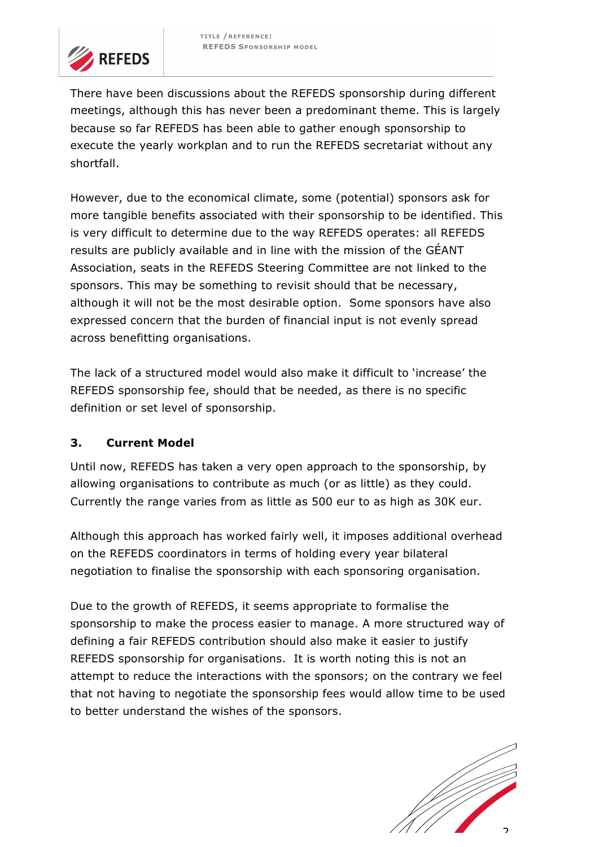

There have been discussions about the REFEDS sponsorship during different meetings, although this has never been a predominant theme. This is largely because so far REFEDS has been able to gather enough sponsorship to execute the yearly workplan and to run the REFEDS secretariat without any shortfall.

However, due to the economical climate, some (potential) sponsors ask for more tangible benefits associated with their sponsorship to be identified. This is very difficult to determine due to the way REFEDS operates: all REFEDS results are publicly available and in line with the mission of the GÉANT Association, seats in the REFEDS Steering Committee are not linked to the sponsors. This may be something to revisit should that be necessary, although it will not be the most desirable option. Some sponsors have also expressed concern that the burden of financial input is not evenly spread across benefitting organisations.

The lack of a structured model would also make it difficult to 'increase' the REFEDS sponsorship fee, should that be needed, as there is no specific definition or set level of sponsorship.

### **3. Current Model**

Until now, REFEDS has taken a very open approach to the sponsorship, by allowing organisations to contribute as much (or as little) as they could. Currently the range varies from as little as 500 eur to as high as 30K eur.

Although this approach has worked fairly well, it imposes additional overhead on the REFEDS coordinators in terms of holding every year bilateral negotiation to finalise the sponsorship with each sponsoring organisation.

Due to the growth of REFEDS, it seems appropriate to formalise the sponsorship to make the process easier to manage. A more structured way of defining a fair REFEDS contribution should also make it easier to justify REFEDS sponsorship for organisations. It is worth noting this is not an attempt to reduce the interactions with the sponsors; on the contrary we feel that not having to negotiate the sponsorship fees would allow time to be used to better understand the wishes of the sponsors.

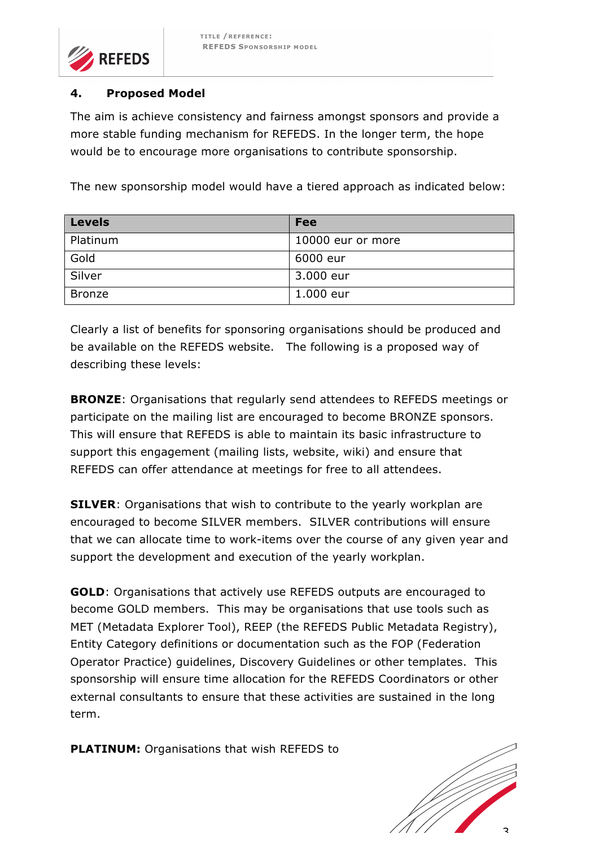

#### **4. Proposed Model**

The aim is achieve consistency and fairness amongst sponsors and provide a more stable funding mechanism for REFEDS. In the longer term, the hope would be to encourage more organisations to contribute sponsorship.

The new sponsorship model would have a tiered approach as indicated below:

| <b>Levels</b> | <b>Fee</b>        |
|---------------|-------------------|
| Platinum      | 10000 eur or more |
| Gold          | 6000 eur          |
| Silver        | 3.000 eur         |
| <b>Bronze</b> | 1.000 eur         |

Clearly a list of benefits for sponsoring organisations should be produced and be available on the REFEDS website. The following is a proposed way of describing these levels:

**BRONZE**: Organisations that regularly send attendees to REFEDS meetings or participate on the mailing list are encouraged to become BRONZE sponsors. This will ensure that REFEDS is able to maintain its basic infrastructure to support this engagement (mailing lists, website, wiki) and ensure that REFEDS can offer attendance at meetings for free to all attendees.

**SILVER**: Organisations that wish to contribute to the yearly workplan are encouraged to become SILVER members. SILVER contributions will ensure that we can allocate time to work-items over the course of any given year and support the development and execution of the yearly workplan.

**GOLD**: Organisations that actively use REFEDS outputs are encouraged to become GOLD members. This may be organisations that use tools such as MET (Metadata Explorer Tool), REEP (the REFEDS Public Metadata Registry), Entity Category definitions or documentation such as the FOP (Federation Operator Practice) guidelines, Discovery Guidelines or other templates. This sponsorship will ensure time allocation for the REFEDS Coordinators or other external consultants to ensure that these activities are sustained in the long term.

**PLATINUM:** Organisations that wish REFEDS to